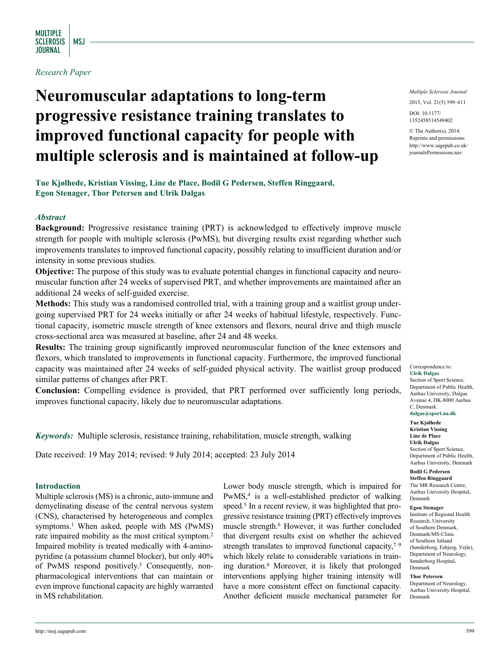### *Research Paper*

# **Neuromuscular adaptations to long-term progressive resistance training translates to improved functional capacity for people with multiple sclerosis and is maintained at follow-up**

**Tue Kjølhede, Kristian Vissing, Line de Place, Bodil G Pedersen, Steffen Ringgaard, Egon Stenager, Thor Petersen and Ulrik Dalgas**

### *Abstract*

**Background:** Progressive resistance training (PRT) is acknowledged to effectively improve muscle strength for people with multiple sclerosis (PwMS), but diverging results exist regarding whether such improvements translates to improved functional capacity, possibly relating to insufficient duration and/or intensity in some previous studies.

**Objective:** The purpose of this study was to evaluate potential changes in functional capacity and neuromuscular function after 24 weeks of supervised PRT, and whether improvements are maintained after an additional 24 weeks of self-guided exercise.

**Methods:** This study was a randomised controlled trial, with a training group and a waitlist group undergoing supervised PRT for 24 weeks initially or after 24 weeks of habitual lifestyle, respectively. Functional capacity, isometric muscle strength of knee extensors and flexors, neural drive and thigh muscle cross-sectional area was measured at baseline, after 24 and 48 weeks.

**Results:** The training group significantly improved neuromuscular function of the knee extensors and flexors, which translated to improvements in functional capacity. Furthermore, the improved functional capacity was maintained after 24 weeks of self-guided physical activity. The waitlist group produced similar patterns of changes after PRT.

**Conclusion:** Compelling evidence is provided, that PRT performed over sufficiently long periods, improves functional capacity, likely due to neuromuscular adaptations.

*Keywords:* Multiple sclerosis, resistance training, rehabilitation, muscle strength, walking

Date received: 19 May 2014; revised: 9 July 2014; accepted: 23 July 2014

### **Introduction**

Multiple sclerosis (MS) is a chronic, auto-immune and demyelinating disease of the central nervous system (CNS), characterised by heterogeneous and complex symptoms.<sup>1</sup> When asked, people with MS (PwMS) rate impaired mobility as the most critical symptom.2 Impaired mobility is treated medically with 4-aminopyridine (a potassium channel blocker), but only 40% of PwMS respond positively.3 Consequently, nonpharmacological interventions that can maintain or even improve functional capacity are highly warranted in MS rehabilitation.

Lower body muscle strength, which is impaired for PwMS,<sup>4</sup> is a well-established predictor of walking speed.<sup>5</sup> In a recent review, it was highlighted that progressive resistance training (PRT) effectively improves muscle strength.6 However, it was further concluded that divergent results exist on whether the achieved strength translates to improved functional capacity,  $7-9$ which likely relate to considerable variations in training duration.6 Moreover, it is likely that prolonged interventions applying higher training intensity will have a more consistent effect on functional capacity. Another deficient muscle mechanical parameter for *Multiple Sclerosis Journal*

2015, Vol. 21(5) 599–611

DOI: 10.1177/ 1352458514549402

© The Author(s), 2014. Reprints and permissions: [http://www.sagepub.co.uk/](http://www.sagepub.co.uk/journalsPermissions.nav) journalsPermissions.nav

#### Correspondence to: **Ulrik Dalgas**

Section of Sport Science, Department of Public Health, Aarhus University, Dalgas Avenue 4, DK-8000 Aarhus C, Denmark. **dalgas@sport.au.dk**

### **Tue Kjølhede**

**Kristian Vissing Line de Place Ulrik Dalgas** Section of Sport Science, Department of Public Health,

#### **Bodil G Pedersen Steffen Ringgaard**

The MR Research Centre, Aarhus University Hospital, Denmark

Aarhus University, Denmark

#### **Egon Stenager**

Institute of Regional Health Research, University of Southern Denmark, Denmark/MS-Clinic of Southern Jutland (Sønderborg, Esbjerg, Vejle), Department of Neurology, Sønderborg Hospital, Denmark

**Thor Petersen**

Department of Neurology, Aarhus University Hospital, Denmark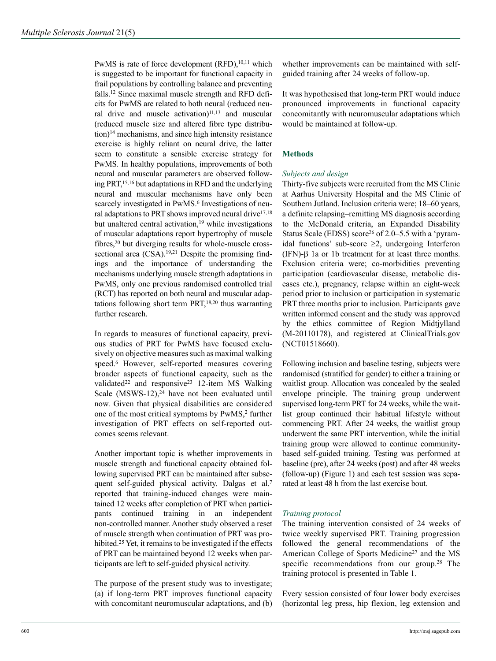PwMS is rate of force development  $(RFD)$ ,<sup>10,11</sup> which is suggested to be important for functional capacity in frail populations by controlling balance and preventing falls.12 Since maximal muscle strength and RFD deficits for PwMS are related to both neural (reduced neural drive and muscle activation)<sup>11,13</sup> and muscular (reduced muscle size and altered fibre type distribu- $\mu$  mechanisms, and since high intensity resistance exercise is highly reliant on neural drive, the latter seem to constitute a sensible exercise strategy for PwMS. In healthy populations, improvements of both neural and muscular parameters are observed following PRT,15,16 but adaptations in RFD and the underlying neural and muscular mechanisms have only been scarcely investigated in PwMS.<sup>6</sup> Investigations of neural adaptations to PRT shows improved neural drive $17,18$ but unaltered central activation,<sup>19</sup> while investigations of muscular adaptations report hypertrophy of muscle fibres,<sup>20</sup> but diverging results for whole-muscle crosssectional area  $(CSA)$ .<sup>19,21</sup> Despite the promising findings and the importance of understanding the mechanisms underlying muscle strength adaptations in PwMS, only one previous randomised controlled trial (RCT) has reported on both neural and muscular adaptations following short term PRT,<sup>18,20</sup> thus warranting further research.

In regards to measures of functional capacity, previous studies of PRT for PwMS have focused exclusively on objective measures such as maximal walking speed.6 However, self-reported measures covering broader aspects of functional capacity, such as the validated<sup>22</sup> and responsive<sup>23</sup> 12-item MS Walking Scale  $(MSWS-12)$ ,<sup>24</sup> have not been evaluated until now. Given that physical disabilities are considered one of the most critical symptoms by PwMS,<sup>2</sup> further investigation of PRT effects on self-reported outcomes seems relevant.

Another important topic is whether improvements in muscle strength and functional capacity obtained following supervised PRT can be maintained after subsequent self-guided physical activity. Dalgas et al.7 reported that training-induced changes were maintained 12 weeks after completion of PRT when participants continued training in an independent non-controlled manner. Another study observed a reset of muscle strength when continuation of PRT was prohibited.<sup>25</sup> Yet, it remains to be investigated if the effects of PRT can be maintained beyond 12 weeks when participants are left to self-guided physical activity.

The purpose of the present study was to investigate; (a) if long-term PRT improves functional capacity with concomitant neuromuscular adaptations, and (b) whether improvements can be maintained with selfguided training after 24 weeks of follow-up.

It was hypothesised that long-term PRT would induce pronounced improvements in functional capacity concomitantly with neuromuscular adaptations which would be maintained at follow-up.

### **Methods**

### *Subjects and design*

Thirty-five subjects were recruited from the MS Clinic at Aarhus University Hospital and the MS Clinic of Southern Jutland. Inclusion criteria were; 18–60 years, a definite relapsing–remitting MS diagnosis according to the McDonald criteria, an Expanded Disability Status Scale (EDSS) score<sup>26</sup> of 2.0–5.5 with a 'pyramidal functions' sub-score  $\geq 2$ , undergoing Interferon (IFN)-β 1a or 1b treatment for at least three months. Exclusion criteria were; co-morbidities preventing participation (cardiovascular disease, metabolic diseases etc.), pregnancy, relapse within an eight-week period prior to inclusion or participation in systematic PRT three months prior to inclusion. Participants gave written informed consent and the study was approved by the ethics committee of Region Midtjylland (M-20110178), and registered at ClinicalTrials.gov (NCT01518660).

Following inclusion and baseline testing, subjects were randomised (stratified for gender) to either a training or waitlist group. Allocation was concealed by the sealed envelope principle. The training group underwent supervised long-term PRT for 24 weeks, while the waitlist group continued their habitual lifestyle without commencing PRT. After 24 weeks, the waitlist group underwent the same PRT intervention, while the initial training group were allowed to continue communitybased self-guided training. Testing was performed at baseline (pre), after 24 weeks (post) and after 48 weeks (follow-up) (Figure 1) and each test session was separated at least 48 h from the last exercise bout.

### *Training protocol*

The training intervention consisted of 24 weeks of twice weekly supervised PRT. Training progression followed the general recommendations of the American College of Sports Medicine<sup>27</sup> and the MS specific recommendations from our group.<sup>28</sup> The training protocol is presented in Table 1.

Every session consisted of four lower body exercises (horizontal leg press, hip flexion, leg extension and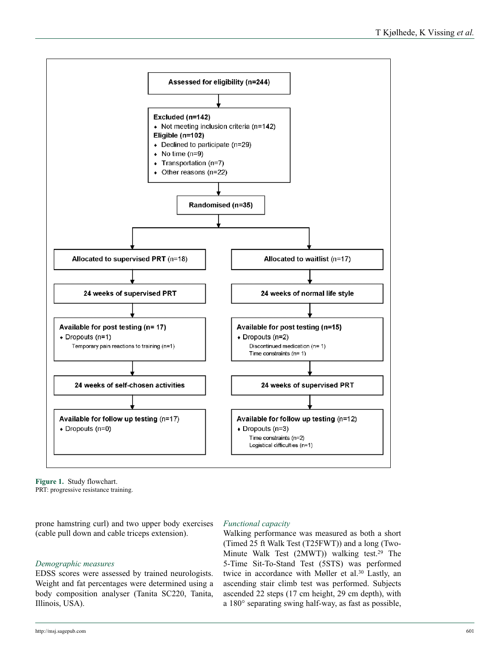

**Figure 1.** Study flowchart. PRT: progressive resistance training.

prone hamstring curl) and two upper body exercises (cable pull down and cable triceps extension).

# *Demographic measures*

EDSS scores were assessed by trained neurologists. Weight and fat percentages were determined using a body composition analyser (Tanita SC220, Tanita, Illinois, USA).

# *Functional capacity*

Walking performance was measured as both a short (Timed 25 ft Walk Test (T25FWT)) and a long (Two-Minute Walk Test  $(2MWT)$ ) walking test.<sup>29</sup> The 5-Time Sit-To-Stand Test (5STS) was performed twice in accordance with Møller et al.<sup>30</sup> Lastly, an ascending stair climb test was performed. Subjects ascended 22 steps (17 cm height, 29 cm depth), with a 180° separating swing half-way, as fast as possible,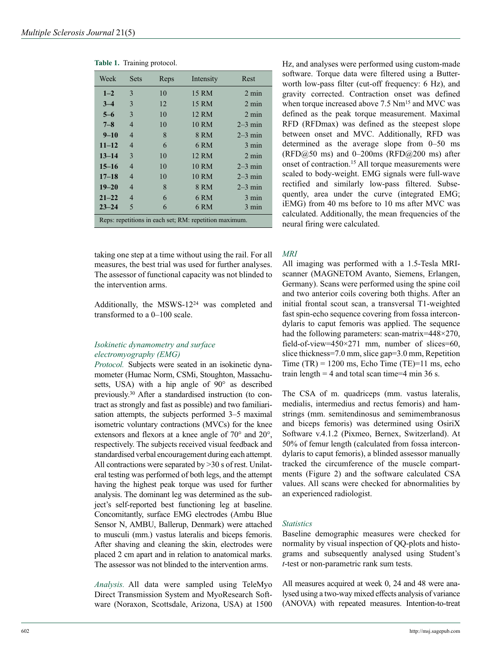| Week      | <b>Sets</b>    | Reps | Intensity                                              | Rest            |
|-----------|----------------|------|--------------------------------------------------------|-----------------|
| $1 - 2$   | 3              | 10   | 15 RM                                                  | $2 \text{ min}$ |
| $3 - 4$   | 3              | 12   | 15 RM                                                  | $2 \text{ min}$ |
| $5 - 6$   | 3              | 10   | 12 RM                                                  | $2 \text{ min}$ |
| $7 - 8$   | $\overline{4}$ | 10   | 10 RM                                                  | $2-3$ min       |
| $9 - 10$  | $\overline{4}$ | 8    | 8 RM                                                   | $2-3$ min       |
| $11 - 12$ | $\overline{4}$ | 6    | 6 RM                                                   | 3 min           |
| $13 - 14$ | 3              | 10   | 12 RM                                                  | $2 \text{ min}$ |
| $15 - 16$ | $\overline{4}$ | 10   | 10 RM                                                  | $2-3$ min       |
| $17 - 18$ | $\overline{4}$ | 10   | 10 RM                                                  | $2-3$ min       |
| $19 - 20$ | $\overline{4}$ | 8    | 8 RM                                                   | $2-3$ min       |
| $21 - 22$ | $\overline{4}$ | 6    | 6 <sub>RM</sub>                                        | 3 min           |
| $23 - 24$ | 5              | 6    | 6 RM                                                   | 3 min           |
|           |                |      | Reps: repetitions in each set; RM: repetition maximum. |                 |

**Table 1.** Training protocol.

taking one step at a time without using the rail. For all measures, the best trial was used for further analyses. The assessor of functional capacity was not blinded to the intervention arms.

Additionally, the MSWS-1224 was completed and transformed to a 0–100 scale.

## *Isokinetic dynamometry and surface electromyography (EMG)*

*Protocol.* Subjects were seated in an isokinetic dynamometer (Humac Norm, CSMi, Stoughton, Massachusetts, USA) with a hip angle of 90° as described previously.30 After a standardised instruction (to contract as strongly and fast as possible) and two familiarisation attempts, the subjects performed 3–5 maximal isometric voluntary contractions (MVCs) for the knee extensors and flexors at a knee angle of 70° and 20°, respectively. The subjects received visual feedback and standardised verbal encouragement during each attempt. All contractions were separated by >30 s of rest. Unilateral testing was performed of both legs, and the attempt having the highest peak torque was used for further analysis. The dominant leg was determined as the subject's self-reported best functioning leg at baseline. Concomitantly, surface EMG electrodes (Ambu Blue Sensor N, AMBU, Ballerup, Denmark) were attached to musculi (mm.) vastus lateralis and biceps femoris. After shaving and cleaning the skin, electrodes were placed 2 cm apart and in relation to anatomical marks. The assessor was not blinded to the intervention arms.

*Analysis.* All data were sampled using TeleMyo Direct Transmission System and MyoResearch Software (Noraxon, Scottsdale, Arizona, USA) at 1500

Hz, and analyses were performed using custom-made software. Torque data were filtered using a Butterworth low-pass filter (cut-off frequency: 6 Hz), and gravity corrected. Contraction onset was defined when torque increased above 7.5 Nm<sup>15</sup> and MVC was defined as the peak torque measurement. Maximal RFD (RFDmax) was defined as the steepest slope between onset and MVC. Additionally, RFD was determined as the average slope from 0–50 ms (RFD $@50$  ms) and 0–200ms (RFD $@200$  ms) after onset of contraction.15 All torque measurements were scaled to body-weight. EMG signals were full-wave rectified and similarly low-pass filtered. Subsequently, area under the curve (integrated EMG; iEMG) from 40 ms before to 10 ms after MVC was calculated. Additionally, the mean frequencies of the neural firing were calculated.

### *MRI*

All imaging was performed with a 1.5-Tesla MRIscanner (MAGNETOM Avanto, Siemens, Erlangen, Germany). Scans were performed using the spine coil and two anterior coils covering both thighs. After an initial frontal scout scan, a transversal T1-weighted fast spin-echo sequence covering from fossa intercondylaris to caput femoris was applied. The sequence had the following parameters: scan-matrix=448×270, field-of-view=450 $\times$ 271 mm, number of slices=60, slice thickness=7.0 mm, slice gap=3.0 mm, Repetition Time  $(TR) = 1200$  ms, Echo Time  $(TE)=11$  ms, echo train length  $=$  4 and total scan time=4 min 36 s.

The CSA of m. quadriceps (mm. vastus lateralis, medialis, intermedius and rectus femoris) and hamstrings (mm. semitendinosus and semimembranosus and biceps femoris) was determined using OsiriX Software v.4.1.2 (Pixmeo, Bernex, Switzerland). At 50% of femur length (calculated from fossa intercondylaris to caput femoris), a blinded assessor manually tracked the circumference of the muscle compartments (Figure 2) and the software calculated CSA values. All scans were checked for abnormalities by an experienced radiologist.

### *Statistics*

Baseline demographic measures were checked for normality by visual inspection of QQ-plots and histograms and subsequently analysed using Student's *t*-test or non-parametric rank sum tests.

All measures acquired at week 0, 24 and 48 were analysed using a two-way mixed effects analysis of variance (ANOVA) with repeated measures. Intention-to-treat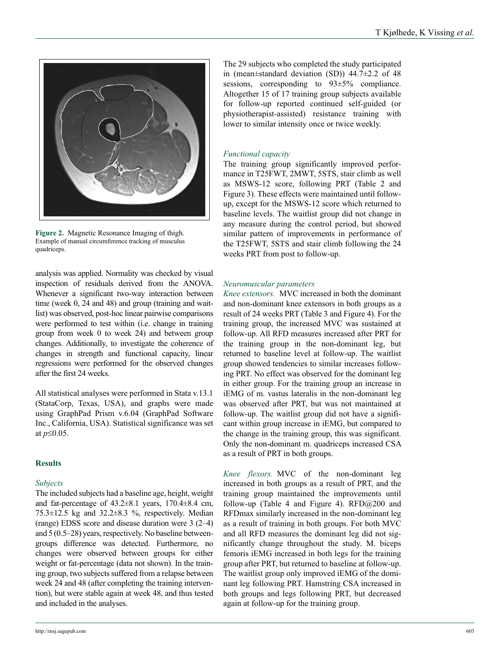

**Figure 2.** Magnetic Resonance Imaging of thigh. Example of manual circumference tracking of musculus quadriceps.

analysis was applied. Normality was checked by visual inspection of residuals derived from the ANOVA. Whenever a significant two-way interaction between time (week 0, 24 and 48) and group (training and waitlist) was observed, post-hoc linear pairwise comparisons were performed to test within (i.e. change in training group from week 0 to week 24) and between group changes. Additionally, to investigate the coherence of changes in strength and functional capacity, linear regressions were performed for the observed changes after the first 24 weeks.

All statistical analyses were performed in Stata v.13.1 (StataCorp, Texas, USA), and graphs were made using GraphPad Prism v.6.04 (GraphPad Software Inc., California, USA). Statistical significance was set at *p*≤0.05.

# **Results**

# *Subjects*

The included subjects had a baseline age, height, weight and fat-percentage of  $43.2 \pm 8.1$  years,  $170.4 \pm 8.4$  cm,  $75.3\pm12.5$  kg and  $32.2\pm8.3$  %, respectively. Median (range) EDSS score and disease duration were 3 (2–4) and 5 (0.5–28) years, respectively. No baseline betweengroups difference was detected. Furthermore, no changes were observed between groups for either weight or fat-percentage (data not shown). In the training group, two subjects suffered from a relapse between week 24 and 48 (after completing the training intervention), but were stable again at week 48, and thus tested and included in the analyses.

The 29 subjects who completed the study participated in (mean±standard deviation (SD)) 44.7±2.2 of 48 sessions, corresponding to  $93\pm5\%$  compliance. Altogether 15 of 17 training group subjects available for follow-up reported continued self-guided (or physiotherapist-assisted) resistance training with lower to similar intensity once or twice weekly.

## *Functional capacity*

The training group significantly improved performance in T25FWT, 2MWT, 5STS, stair climb as well as MSWS-12 score, following PRT (Table 2 and Figure 3). These effects were maintained until followup, except for the MSWS-12 score which returned to baseline levels. The waitlist group did not change in any measure during the control period, but showed similar pattern of improvements in performance of the T25FWT, 5STS and stair climb following the 24 weeks PRT from post to follow-up.

## *Neuromuscular parameters*

*Knee extensors.* MVC increased in both the dominant and non-dominant knee extensors in both groups as a result of 24 weeks PRT (Table 3 and Figure 4). For the training group, the increased MVC was sustained at follow-up. All RFD measures increased after PRT for the training group in the non-dominant leg, but returned to baseline level at follow-up. The waitlist group showed tendencies to similar increases following PRT. No effect was observed for the dominant leg in either group. For the training group an increase in iEMG of m. vastus lateralis in the non-dominant leg was observed after PRT, but was not maintained at follow-up. The waitlist group did not have a significant within group increase in iEMG, but compared to the change in the training group, this was significant. Only the non-dominant m. quadriceps increased CSA as a result of PRT in both groups.

*Knee flexors.* MVC of the non-dominant leg increased in both groups as a result of PRT, and the training group maintained the improvements until follow-up (Table 4 and Figure 4).  $RFD@200$  and RFDmax similarly increased in the non-dominant leg as a result of training in both groups. For both MVC and all RFD measures the dominant leg did not significantly change throughout the study. M. biceps femoris iEMG increased in both legs for the training group after PRT, but returned to baseline at follow-up. The waitlist group only improved iEMG of the dominant leg following PRT. Hamstring CSA increased in both groups and legs following PRT, but decreased again at follow-up for the training group.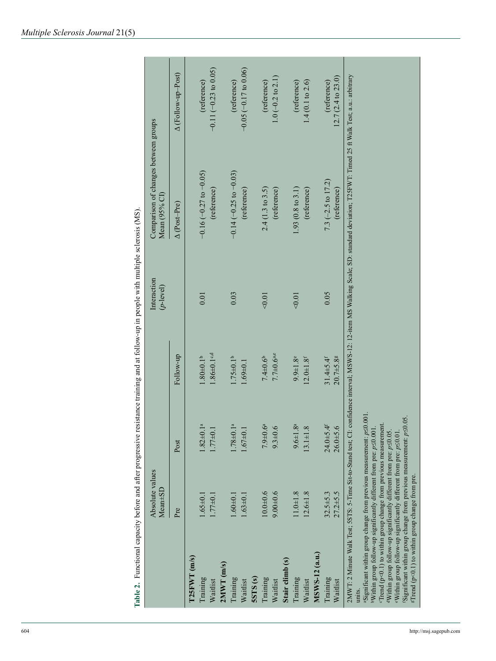|                     | Absolute values<br>Mean±SD                                                                                                                                                                                                                                                                                         |                           |                                             | Interaction<br>$(p$ -level) | Comparison of changes between groups<br>Mean (95% CI)                                                                                                                                                       |                             |
|---------------------|--------------------------------------------------------------------------------------------------------------------------------------------------------------------------------------------------------------------------------------------------------------------------------------------------------------------|---------------------------|---------------------------------------------|-----------------------------|-------------------------------------------------------------------------------------------------------------------------------------------------------------------------------------------------------------|-----------------------------|
|                     | Pre                                                                                                                                                                                                                                                                                                                | Post                      | Follow-up                                   |                             | $\Delta$ (Post-Pre)                                                                                                                                                                                         | A (Follow-up-Post)          |
| $T25FWT$ (m/s)      |                                                                                                                                                                                                                                                                                                                    |                           |                                             |                             |                                                                                                                                                                                                             |                             |
| Training            | $1.65 \pm 0.1$                                                                                                                                                                                                                                                                                                     | $1.82 \pm 0.1^a$          | $1.80 + 0.1$ <sup>b</sup>                   | 0.01                        | $-0.16 (-0.27 to -0.05)$                                                                                                                                                                                    | (reference)                 |
| Waitlist            | $1.77 + 0.1$                                                                                                                                                                                                                                                                                                       | $1.77 + 0.1$              | $1.86 \pm 0.1$ c,d                          |                             | (reference)                                                                                                                                                                                                 | $-0.11$ $(-0.23$ to $0.05)$ |
| $2MWT$ (m/s)        |                                                                                                                                                                                                                                                                                                                    |                           |                                             |                             |                                                                                                                                                                                                             |                             |
| Training            | $1.60 + 0.1$                                                                                                                                                                                                                                                                                                       | $1.78 \pm 0.1^a$          | $1.75 \pm 0.1^b$                            | 0.03                        | $-0.14$ ( $-0.25$ to $-0.03$ )                                                                                                                                                                              | (reference)                 |
| Waitlist            | $1.63 + 0.1$                                                                                                                                                                                                                                                                                                       | $1.67 + 0.1$              | $1.69 + 0.1$                                |                             | (reference)                                                                                                                                                                                                 | $-0.05$ ( $-0.17$ to 0.06)  |
| SSTS <sub>(s)</sub> |                                                                                                                                                                                                                                                                                                                    |                           |                                             |                             |                                                                                                                                                                                                             |                             |
| Training            | $10.0 + 0.6$                                                                                                                                                                                                                                                                                                       | $7.9 + 0.6^a$             | $7.4 \pm 0.6$                               | $<0.01$                     | 2.4 (1.3 to 3.5)                                                                                                                                                                                            | (reference)                 |
| Waitlist            | $9.00 + 0.6$                                                                                                                                                                                                                                                                                                       | $9.3 + 0.6$               | $7.7 \pm 0.6$ a.e                           |                             | (reference)                                                                                                                                                                                                 | $1.0(-0.2 \text{ to } 2.1)$ |
| Stair climb (s)     |                                                                                                                                                                                                                                                                                                                    |                           |                                             |                             |                                                                                                                                                                                                             |                             |
| Training            | $11.0 + 1.8$                                                                                                                                                                                                                                                                                                       | $9.6 \pm 1.8^a$           | $9.9 + 1.8$                                 | 0.01                        | $1.93(0.8 \text{ to } 3.1)$                                                                                                                                                                                 | (reference)                 |
| Waitlist            | $12.6 + 1.8$                                                                                                                                                                                                                                                                                                       | $13.1 \pm 1.8$            | $12.0 + 1.8$ <sup>f</sup>                   |                             | (reference)                                                                                                                                                                                                 | 1.4(0.1 to 2.6)             |
| MSWS-12 (a.u.)      |                                                                                                                                                                                                                                                                                                                    |                           |                                             |                             |                                                                                                                                                                                                             |                             |
| Training            | $32.5 + 5.3$<br>$27.2 + 5.5$                                                                                                                                                                                                                                                                                       | $24.0 + 5.4$ <sup>f</sup> | $31.4 \pm 5.4$ <sup>f</sup><br>$20.7 + 5.8$ | 0.05                        | 7.3 ( $-2.5$ to 17.2)                                                                                                                                                                                       | (reference)                 |
| Waitlist            |                                                                                                                                                                                                                                                                                                                    | $26.0 + 5.6$              |                                             |                             | 2MWT: 2 Minute Walk Test; SSTS: 5-Time Sit-to-Stand test; CI: confidence interval; MSWS-12: 12-item MS Walking Scale; SD: standard deviation; T25FWT: Timed 25 ft Walk Test; a.u.: arbitrary<br>(reference) | 12.7 (2.4 to 23.0)          |
| units.              | aSignificant within group change from previous measurement: p<0.001.                                                                                                                                                                                                                                               |                           |                                             |                             |                                                                                                                                                                                                             |                             |
|                     | $c$ Trend (p<0.1) to within group change from previous measurement.<br><sup>b</sup> Within group follow-up significantly different from pre: p<0.001.<br><sup>d</sup> Within group follow-up significantly different from pre: $p \le 0.05$ .<br>eWithin group follow-up significantly different from pre: p<0.01. |                           |                                             |                             |                                                                                                                                                                                                             |                             |
|                     | 'Significant within group change from previous measurement: $p \le 0.05$ .<br><sup>g</sup> Trend (p<0.1) to within group change from pre.                                                                                                                                                                          |                           |                                             |                             |                                                                                                                                                                                                             |                             |

п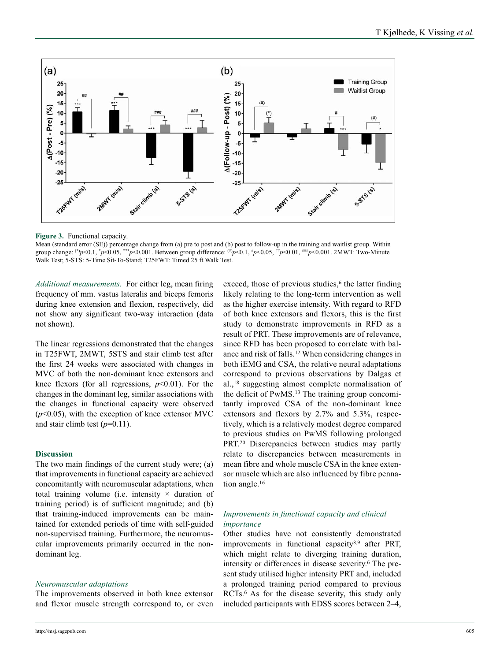

**Figure 3.** Functional capacity.

Mean (standard error (SE)) percentage change from (a) pre to post and (b) post to follow-up in the training and waitlist group. Within group change: (\*)*p*<0.1, \**p*<0.05, \*\*\**p*<0.001. Between group difference: (#)*p*<0.1, #*p*<0.05, ##*p*<0.01, ###*p*<0.001. 2MWT: Two-Minute Walk Test; 5-STS: 5-Time Sit-To-Stand; T25FWT: Timed 25 ft Walk Test.

*Additional measurements.* For either leg, mean firing frequency of mm. vastus lateralis and biceps femoris during knee extension and flexion, respectively, did not show any significant two-way interaction (data not shown).

The linear regressions demonstrated that the changes in T25FWT, 2MWT, 5STS and stair climb test after the first 24 weeks were associated with changes in MVC of both the non-dominant knee extensors and knee flexors (for all regressions,  $p<0.01$ ). For the changes in the dominant leg, similar associations with the changes in functional capacity were observed  $(p<0.05)$ , with the exception of knee extensor MVC and stair climb test  $(p=0.11)$ .

### **Discussion**

The two main findings of the current study were; (a) that improvements in functional capacity are achieved concomitantly with neuromuscular adaptations, when total training volume (i.e. intensity  $\times$  duration of training period) is of sufficient magnitude; and (b) that training-induced improvements can be maintained for extended periods of time with self-guided non-supervised training. Furthermore, the neuromuscular improvements primarily occurred in the nondominant leg.

### *Neuromuscular adaptations*

The improvements observed in both knee extensor and flexor muscle strength correspond to, or even exceed, those of previous studies, $6$  the latter finding likely relating to the long-term intervention as well as the higher exercise intensity. With regard to RFD of both knee extensors and flexors, this is the first study to demonstrate improvements in RFD as a result of PRT. These improvements are of relevance, since RFD has been proposed to correlate with balance and risk of falls.12 When considering changes in both iEMG and CSA, the relative neural adaptations correspond to previous observations by Dalgas et al.,18 suggesting almost complete normalisation of the deficit of PwMS.13 The training group concomitantly improved CSA of the non-dominant knee extensors and flexors by 2.7% and 5.3%, respectively, which is a relatively modest degree compared to previous studies on PwMS following prolonged PRT.20 Discrepancies between studies may partly relate to discrepancies between measurements in mean fibre and whole muscle CSA in the knee extensor muscle which are also influenced by fibre pennation angle.16

### *Improvements in functional capacity and clinical importance*

Other studies have not consistently demonstrated improvements in functional capacity<sup>8,9</sup> after PRT, which might relate to diverging training duration, intensity or differences in disease severity.6 The present study utilised higher intensity PRT and, included a prolonged training period compared to previous RCTs.6 As for the disease severity, this study only included participants with EDSS scores between 2–4,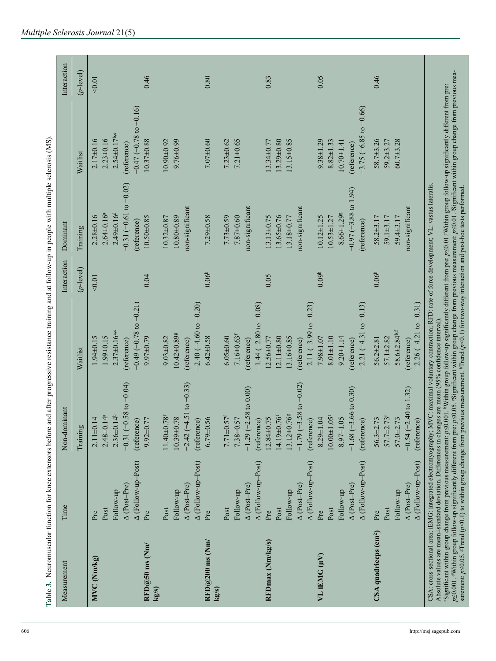| Measurement                               | Time                | Non-dominant                       |                                  | Interaction       | Dominant                         |                                | Interaction  |
|-------------------------------------------|---------------------|------------------------------------|----------------------------------|-------------------|----------------------------------|--------------------------------|--------------|
|                                           |                     | Training                           | Waitlist                         | $(p$ -level)      | Training                         | Waitlist                       | $(p$ -level) |
| MVC (Nm/kg)                               | Pre                 | $2.11 \pm 0.14$                    | $1.94 \pm 0.15$                  | < 0.01            | $2.28 \pm 0.16$                  | $2.17\pm0.16$                  | < 0.01       |
|                                           | Post                | $2.48 \pm 0.14^a$                  | 1.99±0.15                        |                   | $2.64 \pm 0.16^a$                | $2.23 + 0.16$                  |              |
|                                           | Follow-up           | $2.36 \pm 0.14^b$                  | $2.37\pm0.16^{a,c}$              |                   | $2.49 \pm 0.16d$                 | $2.54 \pm 0.17$ b.e            |              |
|                                           | $\Delta$ (Post-Pre) | $-0.31$ $(-0.58$ to $-0.04)$       | (reference)                      |                   | $-0.31(-0.61 \text{ to } -0.02)$ | (reference)                    |              |
|                                           | A (Follow-up-Post)  | (reference)                        | $-0.49$ $(-0.78$ to $-0.21)$     |                   | (reference)                      | $-0.47$ ( $-0.78$ to $-0.16$ ) |              |
| $\text{RFD}(a)50 \text{ ms (Nm)}$<br>kg/s | Pre                 | $9.92 \pm 0.77$                    | 9.97±0.79                        | 0.04              | 10.50±0.85                       | $10.37 + 0.88$                 | 0.46         |
|                                           | Post                | $11.40 \pm 0.78$ <sup>r</sup>      | $9.03 + 0.82$                    |                   | $10.32 \pm 0.87$                 | $10.90 + 0.92$                 |              |
|                                           | Follow-up           | 10.39±0.78                         | $10.42 \pm 0.89$ <sup>g</sup>    |                   | $10.80 + 0.89$                   | 9.76±0.99                      |              |
|                                           | $\Delta$ (Post-Pre) | $-2.42(-4.51 to -0.33)$            | (reference)                      |                   | non-significant                  |                                |              |
|                                           | A (Follow-up-Post)  | (reference)                        | $-2.40(-4.60 to -0.20)$          |                   |                                  |                                |              |
| $\text{RFD@200 ms}$ (Nm/<br>kg/s          | Pre                 | $6.79 \pm 0.56$                    | $6.42 \pm 0.58$                  | 0.06 <sup>h</sup> | $7.29 \pm 0.58$                  | $7.07 + 0.60$                  | 0.80         |
|                                           | Post                | $7.71 \pm 0.57$ <sup>f</sup>       | $6.05 + 0.60$                    |                   | $7.73 \pm 0.59$                  | $7.23 + 0.62$                  |              |
|                                           | Follow-up           | 7.38±0.57                          | $7.16 \pm 0.63$ <sup>f</sup>     |                   | $7.87 + 0.60$                    | $7.21 \pm 0.65$                |              |
|                                           | $\Delta$ (Post-Pre) | $-1.29$ $(-2.58$ to $0.00)$        | (reference)                      |                   | non-significant                  |                                |              |
|                                           | A (Follow-up-Post)  | (reference)                        | $-1.44$ ( $-2.80$ to $-0.08$ )   |                   |                                  |                                |              |
| RFDmax (Nm/kg/s)                          | Pre                 | $12.84 \pm 0.75$                   | 12.56±0.77                       | 0.05              | $13.13 \pm 0.75$                 | $13.34 \pm 0.77$               | 0.83         |
|                                           | Post                | $4.19 + 0.76$                      | $2.11 \pm 0.80$                  |                   | 13.65±0.76                       | $13.29 + 0.80$                 |              |
|                                           | Follow-up           | 13.12±0.76g                        | 13.16±0.85                       |                   | 13.18±0.77                       | $13.15 \pm 0.85$               |              |
|                                           | $\Delta$ (Post-Pre) | $-1.79(-3.58 \text{ to } -0.02)$   | (reference)                      |                   | non-significant                  |                                |              |
|                                           | A (Follow-up-Post)  | (reference)                        | $-2.11(-3.99 \text{ to } -0.23)$ |                   |                                  |                                |              |
| VL iEMG (µV)                              | Pre                 | 1.04<br>$8.29 \pm 1$               | 7.98±1.07                        | 0.09 <sup>h</sup> | $10.12 \pm 1.25$                 | $9.38 \pm 1.29$                | 0.05         |
|                                           | Post                | $1.05$ <sup>f</sup><br>$10.00 + 1$ | $8.01 + 1.10$                    |                   | $10.53 \pm 1.27$                 | $8.82 \pm 1.33$                |              |
|                                           | Follow-up           | 1.05<br>$8.97 \pm 1$               | $9.20 \pm 1.14$                  |                   | $8.66 \pm 1.29$ <sup>g</sup>     | $10.70 \pm 1.41$               |              |
|                                           | $\Delta$ (Post-Pre) | $-1.68$ ( $-3.66$ to 0.30)         | (reference)                      |                   | $-0.97 (-3.88 \text{ to } 1.94)$ | (reference)                    |              |
|                                           | A (Follow-up-Post)  | (reference)                        | $-2.21(-4.31$ to $-0.13$ )       |                   | (reference)                      | $-3.75 (-6.85 to -0.66)$       |              |
| CSA quadriceps (cm <sup>2</sup> )         | Pre                 | $56.3 \pm 2.73$                    | $56.2 \pm 2.81$                  | 0.06 <sup>h</sup> | $58.2 + 3.17$                    | $58.7 + 3.26$                  | 0.46         |
|                                           | Post                | $57.7 \pm 2.73$ <sup>f</sup>       | $57.1 + 2.82$                    |                   | $59.1 \pm 3.17$                  | $59.2 + 3.27$                  |              |
|                                           | Follow-up           | 57.0±2.73                          | 58.6±2.84 <sup>b,f</sup>         |                   | 59.4 $\pm$ 3.17                  | $60.7 + 3.28$                  |              |
|                                           | $\Delta$ (Post-Pre) | $-0.54$ $(-2.40$ to 1.32)          | (reference)                      |                   | non-significant                  |                                |              |
|                                           | A (Follow-up-Post)  | (reference)                        | $-2.26(-4.21$ to $-0.31)$        |                   |                                  |                                |              |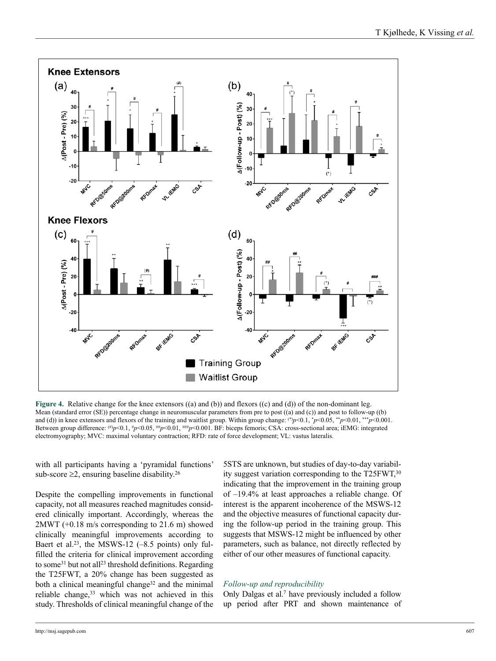

**Figure 4.** Relative change for the knee extensors ((a) and (b)) and flexors ((c) and (d)) of the non-dominant leg. Mean (standard error (SE)) percentage change in neuromuscular parameters from pre to post ((a) and (c)) and post to follow-up ((b) and (d)) in knee extensors and flexors of the training and waitlist group. Within group change: (\*)*p*<0.1, \**p*<0.05, \*\**p*<0.01, \*\*\**p*<0.001. Between group difference: (#)*p*<0.1, #*p*<0.05, ##*p*<0.01, ###*p*<0.001. BF: biceps femoris; CSA: cross-sectional area; iEMG: integrated electromyography; MVC: maximal voluntary contraction; RFD: rate of force development; VL: vastus lateralis.

with all participants having a 'pyramidal functions' sub-score  $\geq$ 2, ensuring baseline disability.<sup>26</sup>

Despite the compelling improvements in functional capacity, not all measures reached magnitudes considered clinically important. Accordingly, whereas the 2MWT (+0.18 m/s corresponding to 21.6 m) showed clinically meaningful improvements according to Baert et al.<sup>23</sup>, the MSWS-12  $(-8.5 \text{ points})$  only fulfilled the criteria for clinical improvement according to some<sup>31</sup> but not all<sup>23</sup> threshold definitions. Regarding the T25FWT, a 20% change has been suggested as both a clinical meaningful change<sup>32</sup> and the minimal reliable change,<sup>33</sup> which was not achieved in this study. Thresholds of clinical meaningful change of the 5STS are unknown, but studies of day-to-day variability suggest variation corresponding to the T25FWT,30 indicating that the improvement in the training group of –19.4% at least approaches a reliable change. Of interest is the apparent incoherence of the MSWS-12 and the objective measures of functional capacity during the follow-up period in the training group. This suggests that MSWS-12 might be influenced by other parameters, such as balance, not directly reflected by either of our other measures of functional capacity.

### *Follow-up and reproducibility*

Only Dalgas et al.7 have previously included a follow up period after PRT and shown maintenance of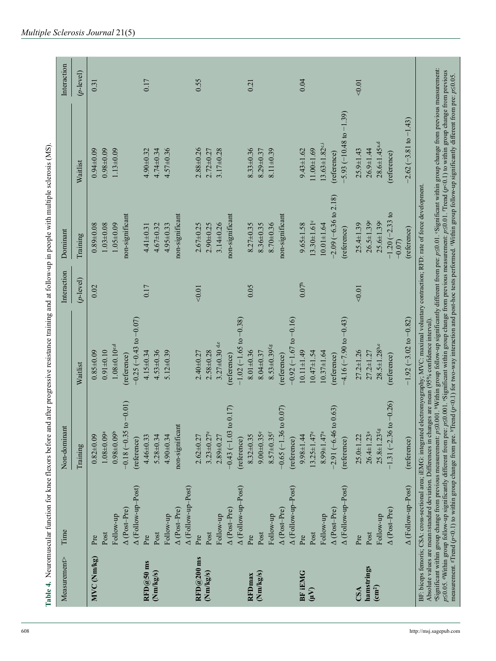| ٦<br>×<br>a.<br>×<br>o m<br>۰. | ٦<br>٠<br>٦<br>٩ |
|--------------------------------|------------------|

| i                                          |  |
|--------------------------------------------|--|
| ١                                          |  |
| l                                          |  |
| $\overline{\phantom{a}}$<br>ł              |  |
| i<br>l                                     |  |
| 1<br>l<br><b>Print</b> 1997 1997<br>l<br>l |  |
| Ŝ<br>ţ<br>ļ                                |  |
| l<br>i                                     |  |
| ֚֚֡<br>i                                   |  |
|                                            |  |
| l<br>١<br>į                                |  |
| ١                                          |  |
|                                            |  |
| i                                          |  |
| iaa<br>1<br>i<br>ţ                         |  |
| l<br>i                                     |  |
| l                                          |  |
| Ï<br>i                                     |  |
| d                                          |  |

|                                   | Time                      | Non-dominant                      |                                | Interaction       | Dominant                        |                                    | Interaction  |
|-----------------------------------|---------------------------|-----------------------------------|--------------------------------|-------------------|---------------------------------|------------------------------------|--------------|
|                                   |                           | Training                          | Waitlist                       | $(p$ -level)      | Training                        | Waitlist                           | $(p$ -level) |
| MVC (Nm/kg)                       | Pre                       | $0.82 \pm 0.09$                   | $0.85 \pm 0.09$                | 0.02              | $0.89 + 0.08$                   | $0.94 + 0.09$                      | 0.31         |
|                                   | Post                      | $1.08 + 0.09$ <sup>a</sup>        | $0.91 \pm 0.10$                |                   | $1.03 + 0.08$                   | $0.98 + 0.09$                      |              |
|                                   | Follow-up                 | $0.98 + 0.09b$                    | $1.08 \pm 0.10$ c,d            |                   | $1.05 + 0.09$                   | $1.13 \pm 0.09$                    |              |
|                                   | $\Delta$ (Post-Pre)       | $(10.0 - 0.01)$<br>$-0.18(-0.35)$ | (reference)                    |                   | non-significant                 |                                    |              |
|                                   | A (Follow-up-Post)        | (reference)                       | $-0.25(-0.43$ to $-0.07)$      |                   |                                 |                                    |              |
| $RFD@50$ ms                       | Pre                       | $4.46 \pm 0.33$                   | $4.15 \pm 0.34$                | 0.17              | $4.41 \pm 0.31$                 | $4.90 + 0.32$                      | 0.17         |
| (Nm/kg/s)                         | Post                      | $5.28 + 0.34$                     | $4.53 + 0.36$                  |                   | $4.67 + 0.32$                   | $4.74 \pm 0.34$                    |              |
|                                   | Follow-up                 | $4.90 \pm 0.34$                   | $5.12 \pm 0.39$                |                   | $4.95 + 0.33$                   | $4.57 + 0.36$                      |              |
|                                   | $\Delta$ (Post-Pre)       | non-significant                   |                                |                   | non-significant                 |                                    |              |
|                                   | A (Follow-up-Post)        |                                   |                                |                   |                                 |                                    |              |
| $\mathrm{RFD}(a)200\ \mathrm{ms}$ | Pre                       | $2.62 + 0.27$                     | $2.40 + 0.27$                  | 0.01              | $2.67 + 0.25$                   | $2.88 + 0.26$                      | 0.55         |
| (Nm/kg/s)                         | Post                      | $3.23 \pm 0.27$ e                 | $2.58 + 0.28$                  |                   | $2.90 + 0.25$                   | $2.72 \pm 0.27$                    |              |
|                                   | Follow-up                 | $2.89 + 0.27$                     | $3.27 \pm 0.30$ de             |                   | $3.14 \pm 0.26$                 | $3.17 + 0.28$                      |              |
|                                   | A (Post-Pre)              | (517)<br>$-0.43(-1.03)$           | (reference)                    |                   | non-significant                 |                                    |              |
|                                   | $\Delta$ (Follow-up-Post) | (reference)                       | $-1.02$ ( $-1.65$ to $-0.38$ ) |                   |                                 |                                    |              |
| RFDmax                            | Pre                       | $8.32 \pm 0.35$                   | $8.01 \pm 0.36$                | 0.05              | $8.27 \pm 0.35$                 | $8.33 \pm 0.36$                    | 0.21         |
| (Nm/kg/s)                         | Post                      | $9.00 \pm 0.35$ <sup>e</sup>      | $8.04 \pm 0.37$                |                   | $8.36 \pm 0.35$                 | $8.29 \pm 0.37$                    |              |
|                                   | Follow-up                 | $8.57 \pm 0.35$ <sup>f</sup>      | $8.53 + 0.39$ f,g              |                   | 8.70±0.36                       | $8.11 \pm 0.39$                    |              |
|                                   | $\Delta$ (Post-Pre)       | to 0.07)<br>$-0.65(-1.36)$        | (reference)                    |                   | non-significant                 |                                    |              |
|                                   | $\Delta$ (Follow-up-Post) | (reference)                       | $-0.92$ ( $-1.67$ to $-0.16$ ) |                   |                                 |                                    |              |
| <b>BF IEMG</b>                    | Pre                       | $9.98 \pm 1.44$                   | $10.11 \pm 1.49$               | 0.07 <sup>h</sup> | $9.65 \pm 1.58$                 | $9.43 \pm 1.62$                    | 0.04         |
| $\sum_{i=1}^{n}$                  | Post                      | $13.25 \pm 1.47$ e                | $10.47 \pm 1.54$               |                   | $13.30 \pm 1.61$ <sup>c</sup>   | $11.00 + 1.69$                     |              |
|                                   | Follow-up                 | $8.99 \pm 1.47^a$                 | $10.37 \pm 1.64$               |                   | $10.01 + 1.64$                  | $13.63 \pm 1.82$ <sup>c,i</sup>    |              |
|                                   | $\Delta$ (Post-Pre)       | (6.63)<br>$-2.91(-6.46)$          | (reference)                    |                   | $-2.09(-6.36 \text{ to } 2.18)$ | (reference)                        |              |
|                                   | $\Delta$ (Follow-up-Post) | (reference)                       | $-4.16$ $(-7.90$ to $-0.43)$   |                   | (reference)                     | $-5.93 (-10.48 \text{ to } -1.39)$ |              |
| CSA                               | Pre                       | $25.0 + 1.22$                     | $27.2 \pm 1.26$                | < 0.01            | $25.4 \pm 1.39$                 | $25.9 \pm 1.43$                    | 0.01         |
| hamstrings                        | Post                      | $26.4 \pm 1.23$ <sup>a</sup>      | $27.2 \pm 1.27$                |                   | $26.5 \pm 1.39$ <sup>e</sup>    | $26.9 \pm 1.44$                    |              |
| $\left(\text{cm}^2\right)$        | Follow-up                 | $25.8 \pm 1.23$ f.g               | $28.5 \pm 1.28$ b,e            |                   | $25.6 \pm 1.39$                 | $28.6 \pm 1.45$ a,d                |              |
|                                   | $\Delta$ (Post-Pre)       | $.0 - 0.26$<br>$1.31 (-2.36)$     | (reference)                    |                   | $-1.20$ ( $-2.33$ to<br>$-0.07$ | (reference)                        |              |
|                                   | A (Follow-up-Post)        | (reference)                       | $-1.92$ ( $-3.02$ to $-0.82$ ) |                   | (reference)                     | $-2.62(-3.81$ to $-1.43$ )         |              |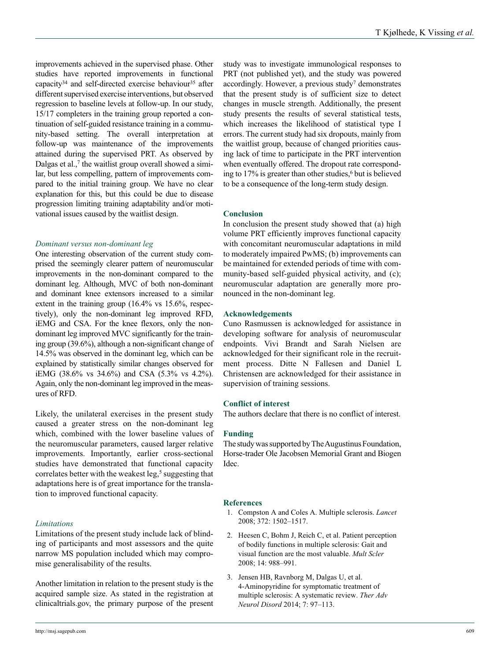improvements achieved in the supervised phase. Other studies have reported improvements in functional capacity<sup>34</sup> and self-directed exercise behaviour<sup>35</sup> after different supervised exercise interventions, but observed regression to baseline levels at follow-up. In our study, 15/17 completers in the training group reported a continuation of self-guided resistance training in a community-based setting. The overall interpretation at follow-up was maintenance of the improvements attained during the supervised PRT. As observed by Dalgas et al.,<sup>7</sup> the waitlist group overall showed a similar, but less compelling, pattern of improvements compared to the initial training group. We have no clear explanation for this, but this could be due to disease progression limiting training adaptability and/or motivational issues caused by the waitlist design.

### *Dominant versus non-dominant leg*

One interesting observation of the current study comprised the seemingly clearer pattern of neuromuscular improvements in the non-dominant compared to the dominant leg. Although, MVC of both non-dominant and dominant knee extensors increased to a similar extent in the training group (16.4% vs 15.6%, respectively), only the non-dominant leg improved RFD, iEMG and CSA. For the knee flexors, only the nondominant leg improved MVC significantly for the training group (39.6%), although a non-significant change of 14.5% was observed in the dominant leg, which can be explained by statistically similar changes observed for iEMG (38.6% vs 34.6%) and CSA (5.3% vs 4.2%). Again, only the non-dominant leg improved in the measures of RFD.

Likely, the unilateral exercises in the present study caused a greater stress on the non-dominant leg which, combined with the lower baseline values of the neuromuscular parameters, caused larger relative improvements. Importantly, earlier cross-sectional studies have demonstrated that functional capacity correlates better with the weakest leg, $5$  suggesting that adaptations here is of great importance for the translation to improved functional capacity.

### *Limitations*

Limitations of the present study include lack of blinding of participants and most assessors and the quite narrow MS population included which may compromise generalisability of the results.

Another limitation in relation to the present study is the acquired sample size. As stated in the registration at clinicaltrials.gov, the primary purpose of the present study was to investigate immunological responses to PRT (not published yet), and the study was powered accordingly. However, a previous study<sup>7</sup> demonstrates that the present study is of sufficient size to detect changes in muscle strength. Additionally, the present study presents the results of several statistical tests, which increases the likelihood of statistical type I errors. The current study had six dropouts, mainly from the waitlist group, because of changed priorities causing lack of time to participate in the PRT intervention when eventually offered. The dropout rate corresponding to 17% is greater than other studies,<sup>6</sup> but is believed to be a consequence of the long-term study design.

### **Conclusion**

In conclusion the present study showed that (a) high volume PRT efficiently improves functional capacity with concomitant neuromuscular adaptations in mild to moderately impaired PwMS; (b) improvements can be maintained for extended periods of time with community-based self-guided physical activity, and (c); neuromuscular adaptation are generally more pronounced in the non-dominant leg.

### **Acknowledgements**

Cuno Rasmussen is acknowledged for assistance in developing software for analysis of neuromuscular endpoints. Vivi Brandt and Sarah Nielsen are acknowledged for their significant role in the recruitment process. Ditte N Fallesen and Daniel L Christensen are acknowledged for their assistance in supervision of training sessions.

### **Conflict of interest**

The authors declare that there is no conflict of interest.

### **Funding**

The study was supported by The Augustinus Foundation, Horse-trader Ole Jacobsen Memorial Grant and Biogen Idec.

### **References**

- 1. Compston A and Coles A. Multiple sclerosis. *Lancet* 2008; 372: 1502–1517.
- 2. Heesen C, Bohm J, Reich C, et al. Patient perception of bodily functions in multiple sclerosis: Gait and visual function are the most valuable. *Mult Scler* 2008; 14: 988–991.
- 3. Jensen HB, Ravnborg M, Dalgas U, et al. 4-Aminopyridine for symptomatic treatment of multiple sclerosis: A systematic review. *Ther Adv Neurol Disord* 2014; 7: 97–113.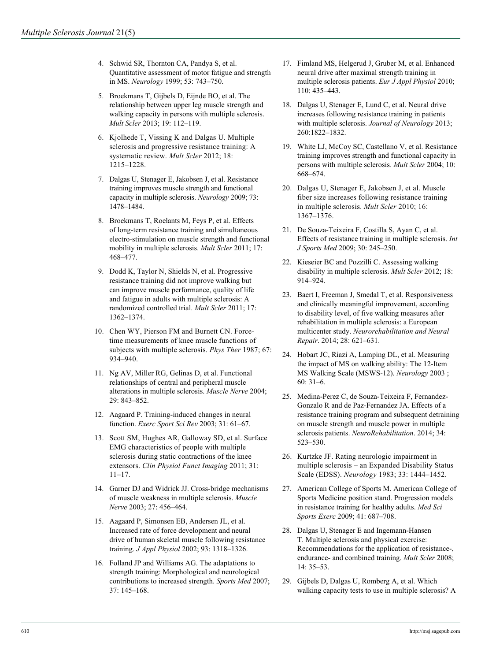- 4. Schwid SR, Thornton CA, Pandya S, et al. Quantitative assessment of motor fatigue and strength in MS. *Neurology* 1999; 53: 743–750.
- 5. Broekmans T, Gijbels D, Eijnde BO, et al. The relationship between upper leg muscle strength and walking capacity in persons with multiple sclerosis. *Mult Scler* 2013; 19: 112–119.
- 6. Kjolhede T, Vissing K and Dalgas U. Multiple sclerosis and progressive resistance training: A systematic review. *Mult Scler* 2012; 18: 1215–1228.
- 7. Dalgas U, Stenager E, Jakobsen J, et al. Resistance training improves muscle strength and functional capacity in multiple sclerosis. *Neurology* 2009; 73: 1478–1484.
- 8. Broekmans T, Roelants M, Feys P, et al. Effects of long-term resistance training and simultaneous electro-stimulation on muscle strength and functional mobility in multiple sclerosis. *Mult Scler* 2011; 17: 468–477.
- 9. Dodd K, Taylor N, Shields N, et al. Progressive resistance training did not improve walking but can improve muscle performance, quality of life and fatigue in adults with multiple sclerosis: A randomized controlled trial. *Mult Scler* 2011; 17: 1362–1374.
- 10. Chen WY, Pierson FM and Burnett CN. Forcetime measurements of knee muscle functions of subjects with multiple sclerosis. *Phys Ther* 1987; 67: 934–940.
- 11. Ng AV, Miller RG, Gelinas D, et al. Functional relationships of central and peripheral muscle alterations in multiple sclerosis. *Muscle Nerve* 2004; 29: 843–852.
- 12. Aagaard P. Training-induced changes in neural function. *Exerc Sport Sci Rev* 2003; 31: 61–67.
- 13. Scott SM, Hughes AR, Galloway SD, et al. Surface EMG characteristics of people with multiple sclerosis during static contractions of the knee extensors. *Clin Physiol Funct Imaging* 2011; 31: 11–17.
- 14. Garner DJ and Widrick JJ. Cross-bridge mechanisms of muscle weakness in multiple sclerosis. *Muscle Nerve* 2003; 27: 456–464.
- 15. Aagaard P, Simonsen EB, Andersen JL, et al. Increased rate of force development and neural drive of human skeletal muscle following resistance training. *J Appl Physiol* 2002; 93: 1318–1326.
- 16. Folland JP and Williams AG. The adaptations to strength training: Morphological and neurological contributions to increased strength. *Sports Med* 2007; 37: 145–168.
- 17. Fimland MS, Helgerud J, Gruber M, et al. Enhanced neural drive after maximal strength training in multiple sclerosis patients. *Eur J Appl Physiol* 2010; 110: 435–443.
- 18. Dalgas U, Stenager E, Lund C, et al. Neural drive increases following resistance training in patients with multiple sclerosis. *Journal of Neurology* 2013; 260:1822–1832.
- 19. White LJ, McCoy SC, Castellano V, et al. Resistance training improves strength and functional capacity in persons with multiple sclerosis. *Mult Scler* 2004; 10: 668–674.
- 20. Dalgas U, Stenager E, Jakobsen J, et al. Muscle fiber size increases following resistance training in multiple sclerosis. *Mult Scler* 2010; 16: 1367–1376.
- 21. De Souza-Teixeira F, Costilla S, Ayan C, et al. Effects of resistance training in multiple sclerosis. *Int J Sports Med* 2009; 30: 245–250.
- 22. Kieseier BC and Pozzilli C. Assessing walking disability in multiple sclerosis. *Mult Scler* 2012; 18: 914–924.
- 23. Baert I, Freeman J, Smedal T, et al. Responsiveness and clinically meaningful improvement, according to disability level, of five walking measures after rehabilitation in multiple sclerosis: a European multicenter study. *Neurorehabilitation and Neural Repair*. 2014; 28: 621–631.
- 24. Hobart JC, Riazi A, Lamping DL, et al. Measuring the impact of MS on walking ability: The 12-Item MS Walking Scale (MSWS-12). *Neurology* 2003 ; 60: 31–6.
- 25. Medina-Perez C, de Souza-Teixeira F, Fernandez-Gonzalo R and de Paz-Fernandez JA. Effects of a resistance training program and subsequent detraining on muscle strength and muscle power in multiple sclerosis patients. *NeuroRehabilitation*. 2014; 34: 523–530.
- 26. Kurtzke JF. Rating neurologic impairment in multiple sclerosis – an Expanded Disability Status Scale (EDSS). *Neurology* 1983; 33: 1444–1452.
- 27. American College of Sports M. American College of Sports Medicine position stand. Progression models in resistance training for healthy adults. *Med Sci Sports Exerc* 2009; 41: 687–708.
- 28. Dalgas U, Stenager E and Ingemann-Hansen T. Multiple sclerosis and physical exercise: Recommendations for the application of resistance-, endurance- and combined training. *Mult Scler* 2008; 14: 35–53.
- 29. Gijbels D, Dalgas U, Romberg A, et al. Which walking capacity tests to use in multiple sclerosis? A